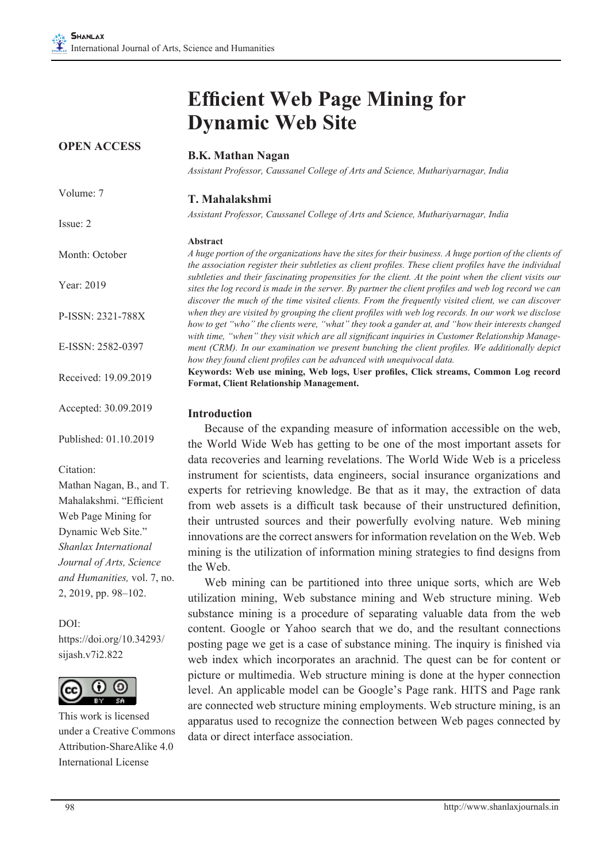**OPEN ACCESS**

# **Efficient Web Page Mining for Dynamic Web Site**

| UI EIVAUUEDD          | <b>B.K. Mathan Nagan</b>                                                                                                                                                                                                                                                                                            |
|-----------------------|---------------------------------------------------------------------------------------------------------------------------------------------------------------------------------------------------------------------------------------------------------------------------------------------------------------------|
|                       | Assistant Professor, Caussanel College of Arts and Science, Muthariyarnagar, India                                                                                                                                                                                                                                  |
| Volume: 7             | T. Mahalakshmi                                                                                                                                                                                                                                                                                                      |
| Issue: 2              | Assistant Professor, Caussanel College of Arts and Science, Muthariyarnagar, India                                                                                                                                                                                                                                  |
|                       | <b>Abstract</b>                                                                                                                                                                                                                                                                                                     |
| Month: October        | A huge portion of the organizations have the sites for their business. A huge portion of the clients of<br>the association register their subtleties as client profiles. These client profiles have the individual                                                                                                  |
| Year: 2019            | subtleties and their fascinating propensities for the client. At the point when the client visits our<br>sites the log record is made in the server. By partner the client profiles and web log record we can<br>discover the much of the time visited clients. From the frequently visited client, we can discover |
| P-ISSN: 2321-788X     | when they are visited by grouping the client profiles with web log records. In our work we disclose<br>how to get "who" the clients were, "what" they took a gander at, and "how their interests changed                                                                                                            |
| E-ISSN: 2582-0397     | with time, "when" they visit which are all significant inquiries in Customer Relationship Manage-<br>ment (CRM). In our examination we present bunching the client profiles. We additionally depict<br>how they found client profiles can be advanced with unequivocal data.                                        |
| Received: 19.09.2019  | Keywords: Web use mining, Web logs, User profiles, Click streams, Common Log record<br><b>Format, Client Relationship Management.</b>                                                                                                                                                                               |
| Accepted: 30.09.2019  | <b>Introduction</b>                                                                                                                                                                                                                                                                                                 |
| Published: 01.10.2019 | Because of the expanding measure of information accessible on the web,<br>the World Wide Web has getting to be one of the most important assets for                                                                                                                                                                 |

Citation:

Mathan Nagan, B., and T. Mahalakshmi. "Efficient Web Page Mining for Dynamic Web Site." *Shanlax International Journal of Arts, Science and Humanities,* vol. 7, no. 2, 2019, pp. 98–102.

DOI: https://doi.org/10.34293/ sijash.v7i2.822



This work is licensed under a Creative Commons Attribution-ShareAlike 4.0 International License

the World Wide Web has getting to be one of the most important assets for data recoveries and learning revelations. The World Wide Web is a priceless instrument for scientists, data engineers, social insurance organizations and experts for retrieving knowledge. Be that as it may, the extraction of data from web assets is a difficult task because of their unstructured definition, their untrusted sources and their powerfully evolving nature. Web mining innovations are the correct answers for information revelation on the Web. Web mining is the utilization of information mining strategies to find designs from the Web.

Web mining can be partitioned into three unique sorts, which are Web utilization mining, Web substance mining and Web structure mining. Web substance mining is a procedure of separating valuable data from the web content. Google or Yahoo search that we do, and the resultant connections posting page we get is a case of substance mining. The inquiry is finished via web index which incorporates an arachnid. The quest can be for content or picture or multimedia. Web structure mining is done at the hyper connection level. An applicable model can be Google's Page rank. HITS and Page rank are connected web structure mining employments. Web structure mining, is an apparatus used to recognize the connection between Web pages connected by data or direct interface association.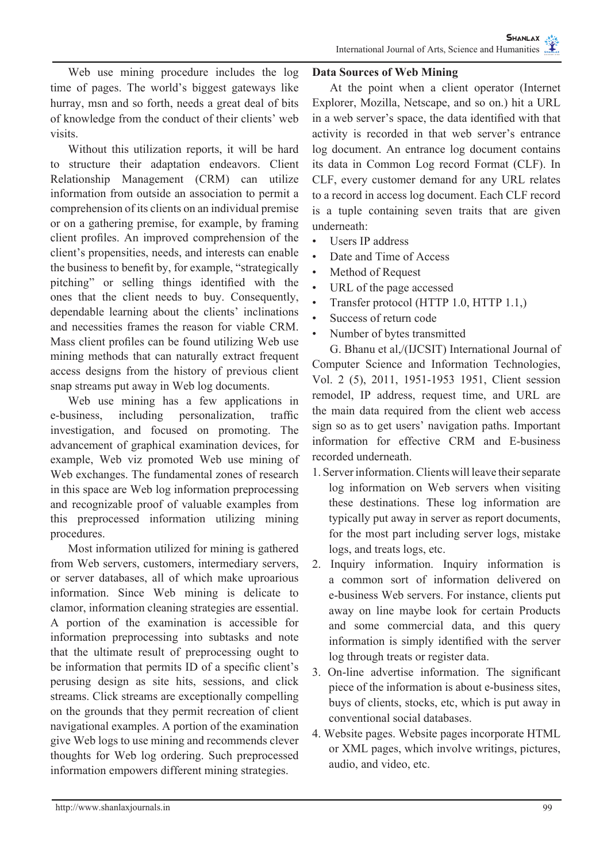Web use mining procedure includes the log time of pages. The world's biggest gateways like hurray, msn and so forth, needs a great deal of bits of knowledge from the conduct of their clients' web visits.

Without this utilization reports, it will be hard to structure their adaptation endeavors. Client Relationship Management (CRM) can utilize information from outside an association to permit a comprehension of its clients on an individual premise or on a gathering premise, for example, by framing client profiles. An improved comprehension of the client's propensities, needs, and interests can enable the business to benefit by, for example, "strategically pitching" or selling things identified with the ones that the client needs to buy. Consequently, dependable learning about the clients' inclinations and necessities frames the reason for viable CRM. Mass client profiles can be found utilizing Web use mining methods that can naturally extract frequent access designs from the history of previous client snap streams put away in Web log documents.

Web use mining has a few applications in e-business, including personalization, traffic investigation, and focused on promoting. The advancement of graphical examination devices, for example, Web viz promoted Web use mining of Web exchanges. The fundamental zones of research in this space are Web log information preprocessing and recognizable proof of valuable examples from this preprocessed information utilizing mining procedures.

Most information utilized for mining is gathered from Web servers, customers, intermediary servers, or server databases, all of which make uproarious information. Since Web mining is delicate to clamor, information cleaning strategies are essential. A portion of the examination is accessible for information preprocessing into subtasks and note that the ultimate result of preprocessing ought to be information that permits ID of a specific client's perusing design as site hits, sessions, and click streams. Click streams are exceptionally compelling on the grounds that they permit recreation of client navigational examples. A portion of the examination give Web logs to use mining and recommends clever thoughts for Web log ordering. Such preprocessed information empowers different mining strategies.

#### **Data Sources of Web Mining**

At the point when a client operator (Internet Explorer, Mozilla, Netscape, and so on.) hit a URL in a web server's space, the data identified with that activity is recorded in that web server's entrance log document. An entrance log document contains its data in Common Log record Format (CLF). In CLF, every customer demand for any URL relates to a record in access log document. Each CLF record is a tuple containing seven traits that are given underneath:

- Users IP address
- Date and Time of Access
- Method of Request
- URL of the page accessed
- Transfer protocol (HTTP 1.0, HTTP 1.1,)
- Success of return code
- Number of bytes transmitted

G. Bhanu et al,/(IJCSIT) International Journal of Computer Science and Information Technologies, Vol. 2 (5), 2011, 1951-1953 1951, Client session remodel, IP address, request time, and URL are the main data required from the client web access sign so as to get users' navigation paths. Important information for effective CRM and E-business recorded underneath.

- 1. Server information. Clients will leave their separate log information on Web servers when visiting these destinations. These log information are typically put away in server as report documents, for the most part including server logs, mistake logs, and treats logs, etc.
- 2. Inquiry information. Inquiry information is a common sort of information delivered on e-business Web servers. For instance, clients put away on line maybe look for certain Products and some commercial data, and this query information is simply identified with the server log through treats or register data.
- 3. On-line advertise information. The significant piece of the information is about e-business sites, buys of clients, stocks, etc, which is put away in conventional social databases.
- 4. Website pages. Website pages incorporate HTML or XML pages, which involve writings, pictures, audio, and video, etc.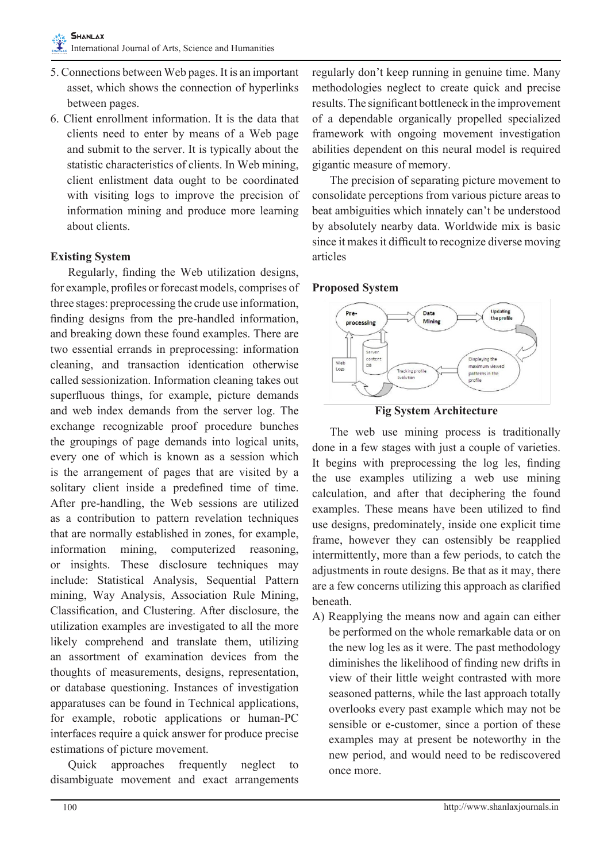- 5. Connections between Web pages. It is an important asset, which shows the connection of hyperlinks between pages.
- 6. Client enrollment information. It is the data that clients need to enter by means of a Web page and submit to the server. It is typically about the statistic characteristics of clients. In Web mining, client enlistment data ought to be coordinated with visiting logs to improve the precision of information mining and produce more learning about clients.

# **Existing System**

Regularly, finding the Web utilization designs, for example, profiles or forecast models, comprises of three stages: preprocessing the crude use information, finding designs from the pre-handled information, and breaking down these found examples. There are two essential errands in preprocessing: information cleaning, and transaction identication otherwise called sessionization. Information cleaning takes out superfluous things, for example, picture demands and web index demands from the server log. The exchange recognizable proof procedure bunches the groupings of page demands into logical units, every one of which is known as a session which is the arrangement of pages that are visited by a solitary client inside a predefined time of time. After pre-handling, the Web sessions are utilized as a contribution to pattern revelation techniques that are normally established in zones, for example, information mining, computerized reasoning, or insights. These disclosure techniques may include: Statistical Analysis, Sequential Pattern mining, Way Analysis, Association Rule Mining, Classification, and Clustering. After disclosure, the utilization examples are investigated to all the more likely comprehend and translate them, utilizing an assortment of examination devices from the thoughts of measurements, designs, representation, or database questioning. Instances of investigation apparatuses can be found in Technical applications, for example, robotic applications or human-PC interfaces require a quick answer for produce precise estimations of picture movement.

Quick approaches frequently neglect to disambiguate movement and exact arrangements regularly don't keep running in genuine time. Many methodologies neglect to create quick and precise results. The significant bottleneck in the improvement of a dependable organically propelled specialized framework with ongoing movement investigation abilities dependent on this neural model is required gigantic measure of memory.

The precision of separating picture movement to consolidate perceptions from various picture areas to beat ambiguities which innately can't be understood by absolutely nearby data. Worldwide mix is basic since it makes it difficult to recognize diverse moving articles

#### **Proposed System**



**Fig System Architecture**

The web use mining process is traditionally done in a few stages with just a couple of varieties. It begins with preprocessing the log les, finding the use examples utilizing a web use mining calculation, and after that deciphering the found examples. These means have been utilized to find use designs, predominately, inside one explicit time frame, however they can ostensibly be reapplied intermittently, more than a few periods, to catch the adjustments in route designs. Be that as it may, there are a few concerns utilizing this approach as clarified beneath.

A) Reapplying the means now and again can either be performed on the whole remarkable data or on the new log les as it were. The past methodology diminishes the likelihood of finding new drifts in view of their little weight contrasted with more seasoned patterns, while the last approach totally overlooks every past example which may not be sensible or e-customer, since a portion of these examples may at present be noteworthy in the new period, and would need to be rediscovered once more.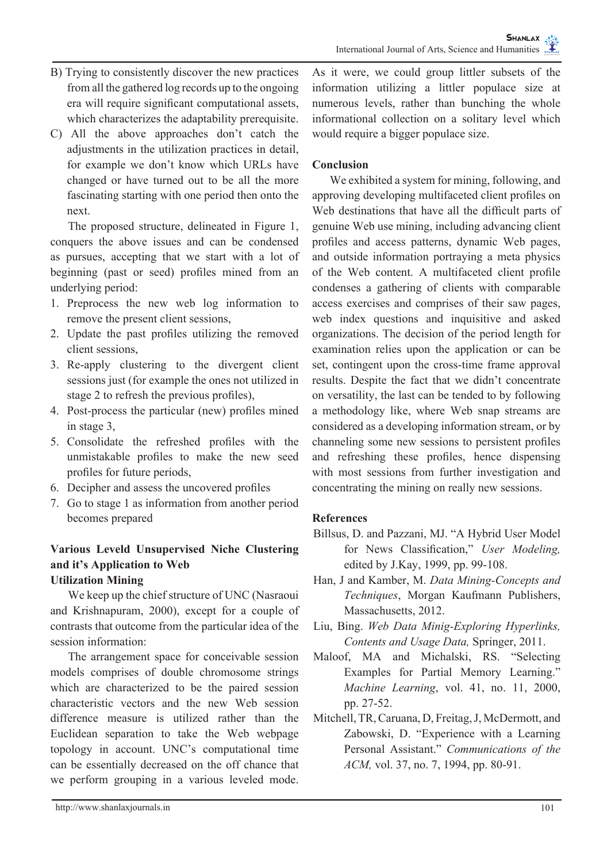- B) Trying to consistently discover the new practices from all the gathered log records up to the ongoing era will require significant computational assets, which characterizes the adaptability prerequisite.
- C) All the above approaches don't catch the adjustments in the utilization practices in detail, for example we don't know which URLs have changed or have turned out to be all the more fascinating starting with one period then onto the next.

The proposed structure, delineated in Figure 1, conquers the above issues and can be condensed as pursues, accepting that we start with a lot of beginning (past or seed) profiles mined from an underlying period:

- 1. Preprocess the new web log information to remove the present client sessions,
- 2. Update the past profiles utilizing the removed client sessions,
- 3. Re-apply clustering to the divergent client sessions just (for example the ones not utilized in stage 2 to refresh the previous profiles),
- 4. Post-process the particular (new) profiles mined in stage 3,
- 5. Consolidate the refreshed profiles with the unmistakable profiles to make the new seed profiles for future periods,
- 6. Decipher and assess the uncovered profiles
- 7. Go to stage 1 as information from another period becomes prepared

#### **Various Leveld Unsupervised Niche Clustering and it's Application to Web Utilization Mining**

We keep up the chief structure of UNC (Nasraoui and Krishnapuram, 2000), except for a couple of contrasts that outcome from the particular idea of the session information:

The arrangement space for conceivable session models comprises of double chromosome strings which are characterized to be the paired session characteristic vectors and the new Web session difference measure is utilized rather than the Euclidean separation to take the Web webpage topology in account. UNC's computational time can be essentially decreased on the off chance that we perform grouping in a various leveled mode.

# **Conclusion**

We exhibited a system for mining, following, and approving developing multifaceted client profiles on Web destinations that have all the difficult parts of genuine Web use mining, including advancing client profiles and access patterns, dynamic Web pages, and outside information portraying a meta physics of the Web content. A multifaceted client profile condenses a gathering of clients with comparable access exercises and comprises of their saw pages, web index questions and inquisitive and asked organizations. The decision of the period length for examination relies upon the application or can be set, contingent upon the cross-time frame approval results. Despite the fact that we didn't concentrate on versatility, the last can be tended to by following a methodology like, where Web snap streams are considered as a developing information stream, or by channeling some new sessions to persistent profiles and refreshing these profiles, hence dispensing with most sessions from further investigation and concentrating the mining on really new sessions.

# **References**

- Billsus, D. and Pazzani, MJ. "A Hybrid User Model for News Classification," *User Modeling,*  edited by J.Kay, 1999, pp. 99-108.
- Han, J and Kamber, M. *Data Mining-Concepts and Techniques*, Morgan Kaufmann Publishers, Massachusetts, 2012.
- Liu, Bing. *Web Data Minig-Exploring Hyperlinks, Contents and Usage Data,* Springer, 2011.
- Maloof, MA and Michalski, RS. "Selecting Examples for Partial Memory Learning." *Machine Learning*, vol. 41, no. 11, 2000, pp. 27-52.
- Mitchell, TR, Caruana, D, Freitag, J, McDermott, and Zabowski, D. "Experience with a Learning Personal Assistant." *Communications of the ACM,* vol. 37, no. 7, 1994, pp. 80-91.